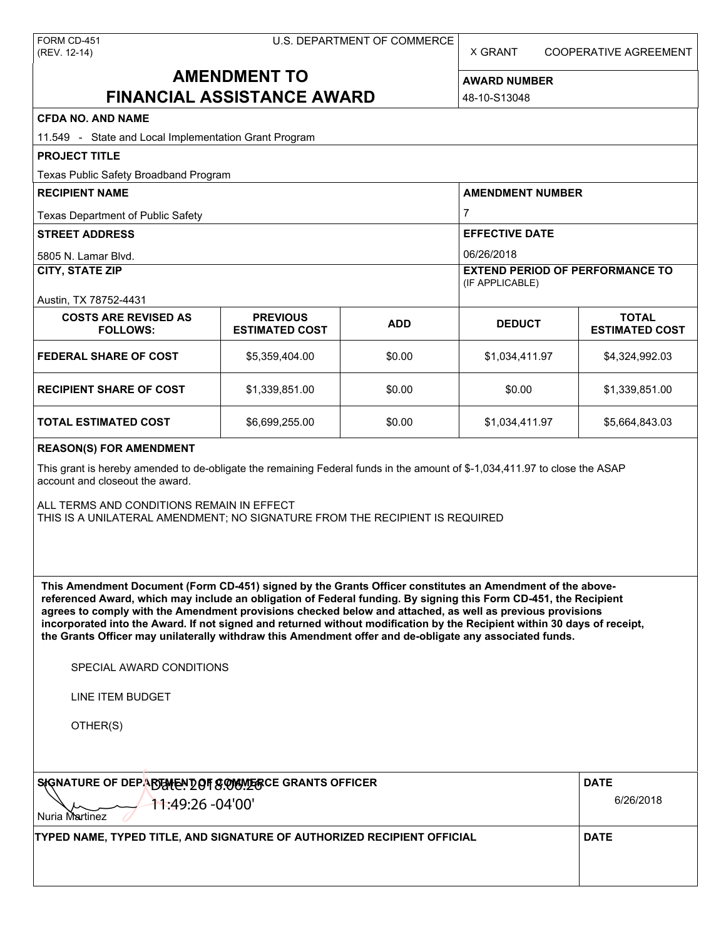X GRANT COOPERATIVE AGREEMENT

# **AMENDMENT TO FINANCIAL ASSISTANCE AWARD**

**AWARD NUMBER** 48-10-S13048

| <b>CFDA NO. AND NAME</b>                                                                                                                                                                                                                                                                                                                                                                                                                                                                                                                                                          |                                          |                                                       |                                                           |                                       |  |  |  |
|-----------------------------------------------------------------------------------------------------------------------------------------------------------------------------------------------------------------------------------------------------------------------------------------------------------------------------------------------------------------------------------------------------------------------------------------------------------------------------------------------------------------------------------------------------------------------------------|------------------------------------------|-------------------------------------------------------|-----------------------------------------------------------|---------------------------------------|--|--|--|
| 11.549 - State and Local Implementation Grant Program                                                                                                                                                                                                                                                                                                                                                                                                                                                                                                                             |                                          |                                                       |                                                           |                                       |  |  |  |
| <b>PROJECT TITLE</b>                                                                                                                                                                                                                                                                                                                                                                                                                                                                                                                                                              |                                          |                                                       |                                                           |                                       |  |  |  |
| Texas Public Safety Broadband Program                                                                                                                                                                                                                                                                                                                                                                                                                                                                                                                                             |                                          |                                                       |                                                           |                                       |  |  |  |
| <b>RECIPIENT NAME</b>                                                                                                                                                                                                                                                                                                                                                                                                                                                                                                                                                             |                                          |                                                       | <b>AMENDMENT NUMBER</b>                                   |                                       |  |  |  |
| Texas Department of Public Safety                                                                                                                                                                                                                                                                                                                                                                                                                                                                                                                                                 |                                          | $\overline{7}$<br><b>EFFECTIVE DATE</b><br>06/26/2018 |                                                           |                                       |  |  |  |
| <b>STREET ADDRESS</b>                                                                                                                                                                                                                                                                                                                                                                                                                                                                                                                                                             |                                          |                                                       |                                                           |                                       |  |  |  |
| 5805 N. Lamar Blvd.                                                                                                                                                                                                                                                                                                                                                                                                                                                                                                                                                               |                                          |                                                       |                                                           |                                       |  |  |  |
| CITY, STATE ZIP                                                                                                                                                                                                                                                                                                                                                                                                                                                                                                                                                                   |                                          |                                                       | <b>EXTEND PERIOD OF PERFORMANCE TO</b><br>(IF APPLICABLE) |                                       |  |  |  |
| Austin, TX 78752-4431<br><b>COSTS ARE REVISED AS</b><br><b>FOLLOWS:</b>                                                                                                                                                                                                                                                                                                                                                                                                                                                                                                           | <b>PREVIOUS</b><br><b>ESTIMATED COST</b> | <b>ADD</b>                                            | <b>DEDUCT</b>                                             | <b>TOTAL</b><br><b>ESTIMATED COST</b> |  |  |  |
| <b>FEDERAL SHARE OF COST</b>                                                                                                                                                                                                                                                                                                                                                                                                                                                                                                                                                      | \$5,359,404.00                           | \$0.00                                                | \$1,034,411.97                                            | \$4,324,992.03                        |  |  |  |
| <b>RECIPIENT SHARE OF COST</b>                                                                                                                                                                                                                                                                                                                                                                                                                                                                                                                                                    | \$1,339,851.00                           | \$0.00                                                | \$0.00                                                    | \$1,339,851.00                        |  |  |  |
| <b>TOTAL ESTIMATED COST</b>                                                                                                                                                                                                                                                                                                                                                                                                                                                                                                                                                       | \$6,699,255.00                           | \$0.00                                                | \$1,034,411.97                                            | \$5,664,843.03                        |  |  |  |
| <b>REASON(S) FOR AMENDMENT</b>                                                                                                                                                                                                                                                                                                                                                                                                                                                                                                                                                    |                                          |                                                       |                                                           |                                       |  |  |  |
| This grant is hereby amended to de-obligate the remaining Federal funds in the amount of \$-1,034,411.97 to close the ASAP<br>account and closeout the award.<br>ALL TERMS AND CONDITIONS REMAIN IN EFFECT<br>THIS IS A UNILATERAL AMENDMENT; NO SIGNATURE FROM THE RECIPIENT IS REQUIRED                                                                                                                                                                                                                                                                                         |                                          |                                                       |                                                           |                                       |  |  |  |
| This Amendment Document (Form CD-451) signed by the Grants Officer constitutes an Amendment of the above-<br>referenced Award, which may include an obligation of Federal funding. By signing this Form CD-451, the Recipient<br>agrees to comply with the Amendment provisions checked below and attached, as well as previous provisions<br>incorporated into the Award. If not signed and returned without modification by the Recipient within 30 days of receipt,<br>the Grants Officer may unilaterally withdraw this Amendment offer and de-obligate any associated funds. |                                          |                                                       |                                                           |                                       |  |  |  |
| SPECIAL AWARD CONDITIONS                                                                                                                                                                                                                                                                                                                                                                                                                                                                                                                                                          |                                          |                                                       |                                                           |                                       |  |  |  |
| <b>LINE ITEM BUDGET</b>                                                                                                                                                                                                                                                                                                                                                                                                                                                                                                                                                           |                                          |                                                       |                                                           |                                       |  |  |  |
| OTHER(S)                                                                                                                                                                                                                                                                                                                                                                                                                                                                                                                                                                          |                                          |                                                       |                                                           |                                       |  |  |  |
| SIGNATURE OF DEPARTENT OF SOVENT BC GRANTS OFFICER                                                                                                                                                                                                                                                                                                                                                                                                                                                                                                                                |                                          |                                                       |                                                           | <b>DATE</b>                           |  |  |  |
| 11:49:26 -04'00'<br><b>Nuria Martinez</b>                                                                                                                                                                                                                                                                                                                                                                                                                                                                                                                                         |                                          |                                                       |                                                           | 6/26/2018                             |  |  |  |
| TYPED NAME, TYPED TITLE, AND SIGNATURE OF AUTHORIZED RECIPIENT OFFICIAL                                                                                                                                                                                                                                                                                                                                                                                                                                                                                                           |                                          |                                                       |                                                           | <b>DATE</b>                           |  |  |  |